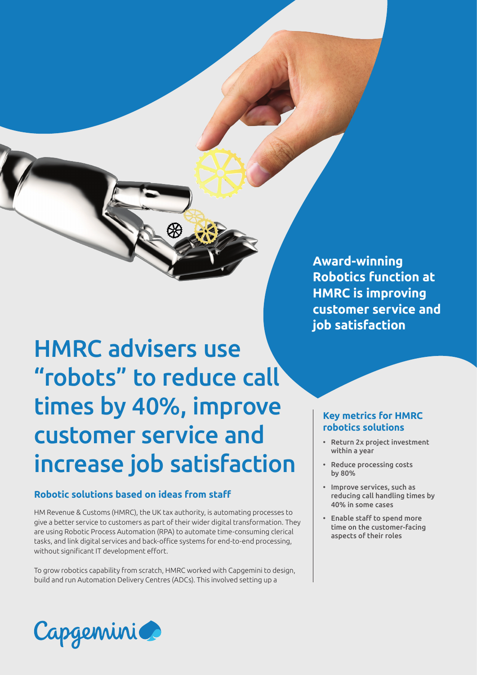HMRC advisers use "robots" to reduce call times by 40%, improve customer service and increase job satisfaction

# **Robotic solutions based on ideas from staff**

HM Revenue & Customs (HMRC), the UK tax authority, is automating processes to give a better service to customers as part of their wider digital transformation. They are using Robotic Process Automation (RPA) to automate time-consuming clerical tasks, and link digital services and back-office systems for end-to-end processing, without significant IT development effort.

To grow robotics capability from scratch, HMRC worked with Capgemini to design, build and run Automation Delivery Centres (ADCs). This involved setting up a

**Award-winning Robotics function at HMRC is improving customer service and job satisfaction**

# **Key metrics for HMRC robotics solutions**

- Return 2x project investment within a year
- Reduce processing costs by 80%
- Improve services, such as reducing call handling times by 40% in some cases
- Enable staff to spend more time on the customer-facing aspects of their roles

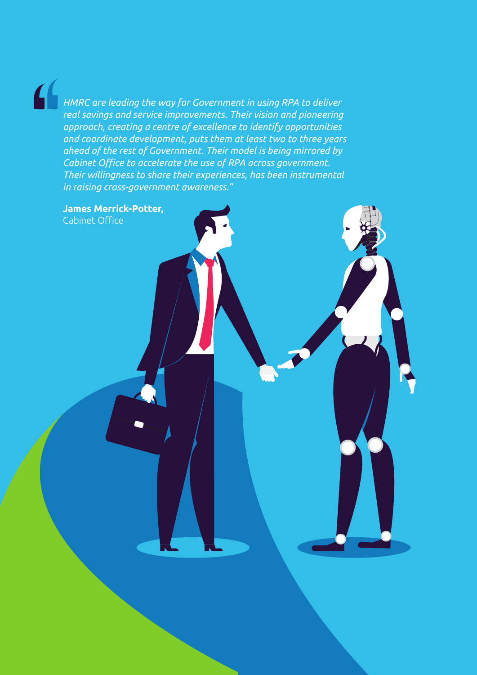$\mathbf{f}$ 

*HMRC are leading the way for Government in using RPA to deliver real savings and service improvements. Their vision and pioneering approach, creating a centre of excellence to identify opportunities and coordinate development, puts them at least two to three years ahead of the rest of Government. Their model is being mirrored by Cabinet Office to accelerate the use of RPA across government. Their willingness to share their experiences, has been instrumental in raising cross-government awareness."*

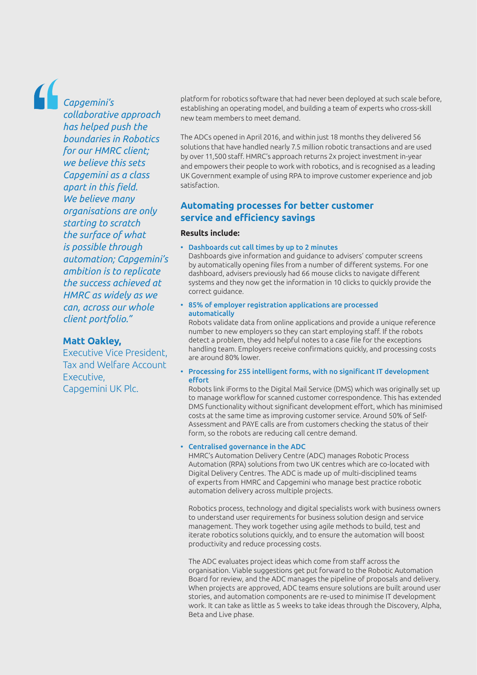*Capgemini's* 

*collaborative approach has helped push the boundaries in Robotics for our HMRC client; we believe this sets Capgemini as a class apart in this field. We believe many organisations are only starting to scratch the surface of what is possible through automation; Capgemini's ambition is to replicate the success achieved at HMRC as widely as we can, across our whole client portfolio."*

## **Matt Oakley,**

Executive Vice President, Tax and Welfare Account Executive, Capgemini UK Plc.

platform for robotics software that had never been deployed at such scale before, establishing an operating model, and building a team of experts who cross-skill new team members to meet demand.

The ADCs opened in April 2016, and within just 18 months they delivered 56 solutions that have handled nearly 7.5 million robotic transactions and are used by over 11,500 staff. HMRC's approach returns 2x project investment in-year and empowers their people to work with robotics, and is recognised as a leading UK Government example of using RPA to improve customer experience and job satisfaction.

## **Automating processes for better customer service and efficiency savings**

## **Results include:**

• Dashboards cut call times by up to 2 minutes

Dashboards give information and guidance to advisers' computer screens by automatically opening files from a number of different systems. For one dashboard, advisers previously had 66 mouse clicks to navigate different systems and they now get the information in 10 clicks to quickly provide the correct guidance.

• 85% of employer registration applications are processed automatically

Robots validate data from online applications and provide a unique reference number to new employers so they can start employing staff. If the robots detect a problem, they add helpful notes to a case file for the exceptions handling team. Employers receive confirmations quickly, and processing costs are around 80% lower.

• Processing for 255 intelligent forms, with no significant IT development effort

Robots link iForms to the Digital Mail Service (DMS) which was originally set up to manage workflow for scanned customer correspondence. This has extended DMS functionality without significant development effort, which has minimised costs at the same time as improving customer service. Around 50% of Self-Assessment and PAYE calls are from customers checking the status of their form, so the robots are reducing call centre demand.

#### • Centralised governance in the ADC

HMRC's Automation Delivery Centre (ADC) manages Robotic Process Automation (RPA) solutions from two UK centres which are co-located with Digital Delivery Centres. The ADC is made up of multi-disciplined teams of experts from HMRC and Capgemini who manage best practice robotic automation delivery across multiple projects.

Robotics process, technology and digital specialists work with business owners to understand user requirements for business solution design and service management. They work together using agile methods to build, test and iterate robotics solutions quickly, and to ensure the automation will boost productivity and reduce processing costs.

The ADC evaluates project ideas which come from staff across the organisation. Viable suggestions get put forward to the Robotic Automation Board for review, and the ADC manages the pipeline of proposals and delivery. When projects are approved, ADC teams ensure solutions are built around user stories, and automation components are re-used to minimise IT development work. It can take as little as 5 weeks to take ideas through the Discovery, Alpha, Beta and Live phase.